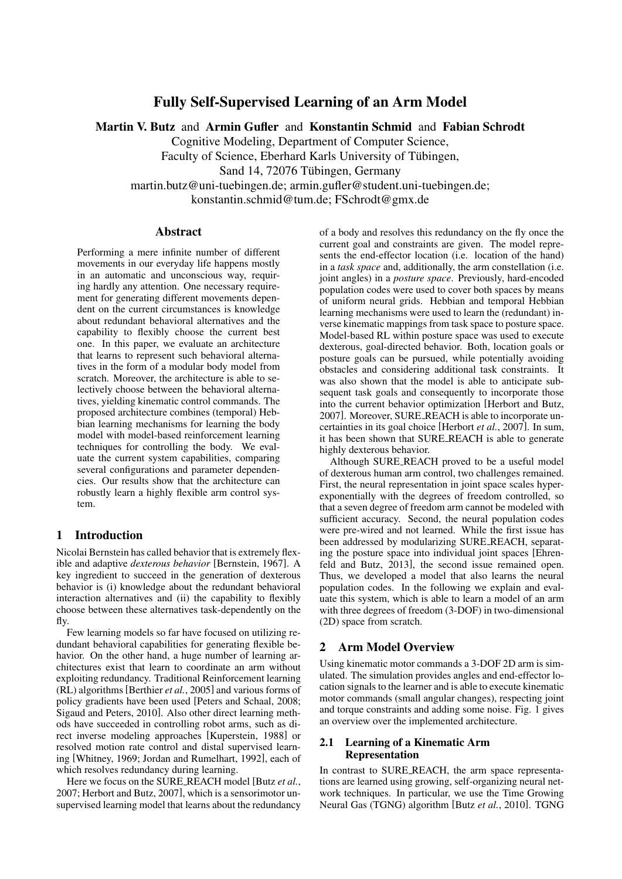# Fully Self-Supervised Learning of an Arm Model

Martin V. Butz and Armin Gufler and Konstantin Schmid and Fabian Schrodt

Cognitive Modeling, Department of Computer Science,

Faculty of Science, Eberhard Karls University of Tübingen,

Sand 14, 72076 Tübingen, Germany

martin.butz@uni-tuebingen.de; armin.gufler@student.uni-tuebingen.de;

konstantin.schmid@tum.de; FSchrodt@gmx.de

#### Abstract

Performing a mere infinite number of different movements in our everyday life happens mostly in an automatic and unconscious way, requiring hardly any attention. One necessary requirement for generating different movements dependent on the current circumstances is knowledge about redundant behavioral alternatives and the capability to flexibly choose the current best one. In this paper, we evaluate an architecture that learns to represent such behavioral alternatives in the form of a modular body model from scratch. Moreover, the architecture is able to selectively choose between the behavioral alternatives, yielding kinematic control commands. The proposed architecture combines (temporal) Hebbian learning mechanisms for learning the body model with model-based reinforcement learning techniques for controlling the body. We evaluate the current system capabilities, comparing several configurations and parameter dependencies. Our results show that the architecture can robustly learn a highly flexible arm control system.

### 1 Introduction

Nicolai Bernstein has called behavior that is extremely flexible and adaptive *dexterous behavior* [Bernstein, 1967]. A key ingredient to succeed in the generation of dexterous behavior is (i) knowledge about the redundant behavioral interaction alternatives and (ii) the capability to flexibly choose between these alternatives task-dependently on the fly.

Few learning models so far have focused on utilizing redundant behavioral capabilities for generating flexible behavior. On the other hand, a huge number of learning architectures exist that learn to coordinate an arm without exploiting redundancy. Traditional Reinforcement learning (RL) algorithms [Berthier *et al.*, 2005] and various forms of policy gradients have been used [Peters and Schaal, 2008; Sigaud and Peters, 2010]. Also other direct learning methods have succeeded in controlling robot arms, such as direct inverse modeling approaches [Kuperstein, 1988] or resolved motion rate control and distal supervised learning [Whitney, 1969; Jordan and Rumelhart, 1992], each of which resolves redundancy during learning.

Here we focus on the SURE REACH model [Butz *et al.*, 2007; Herbort and Butz, 2007], which is a sensorimotor unsupervised learning model that learns about the redundancy of a body and resolves this redundancy on the fly once the current goal and constraints are given. The model represents the end-effector location (i.e. location of the hand) in a *task space* and, additionally, the arm constellation (i.e. joint angles) in a *posture space*. Previously, hard-encoded population codes were used to cover both spaces by means of uniform neural grids. Hebbian and temporal Hebbian learning mechanisms were used to learn the (redundant) inverse kinematic mappings from task space to posture space. Model-based RL within posture space was used to execute dexterous, goal-directed behavior. Both, location goals or posture goals can be pursued, while potentially avoiding obstacles and considering additional task constraints. It was also shown that the model is able to anticipate subsequent task goals and consequently to incorporate those into the current behavior optimization [Herbort and Butz, 2007]. Moreover, SURE REACH is able to incorporate uncertainties in its goal choice [Herbort *et al.*, 2007]. In sum, it has been shown that SURE REACH is able to generate highly dexterous behavior.

Although SURE REACH proved to be a useful model of dexterous human arm control, two challenges remained. First, the neural representation in joint space scales hyperexponentially with the degrees of freedom controlled, so that a seven degree of freedom arm cannot be modeled with sufficient accuracy. Second, the neural population codes were pre-wired and not learned. While the first issue has been addressed by modularizing SURE REACH, separating the posture space into individual joint spaces [Ehrenfeld and Butz, 2013], the second issue remained open. Thus, we developed a model that also learns the neural population codes. In the following we explain and evaluate this system, which is able to learn a model of an arm with three degrees of freedom (3-DOF) in two-dimensional (2D) space from scratch.

### 2 Arm Model Overview

Using kinematic motor commands a 3-DOF 2D arm is simulated. The simulation provides angles and end-effector location signals to the learner and is able to execute kinematic motor commands (small angular changes), respecting joint and torque constraints and adding some noise. Fig. 1 gives an overview over the implemented architecture.

### 2.1 Learning of a Kinematic Arm Representation

In contrast to SURE REACH, the arm space representations are learned using growing, self-organizing neural network techniques. In particular, we use the Time Growing Neural Gas (TGNG) algorithm [Butz *et al.*, 2010]. TGNG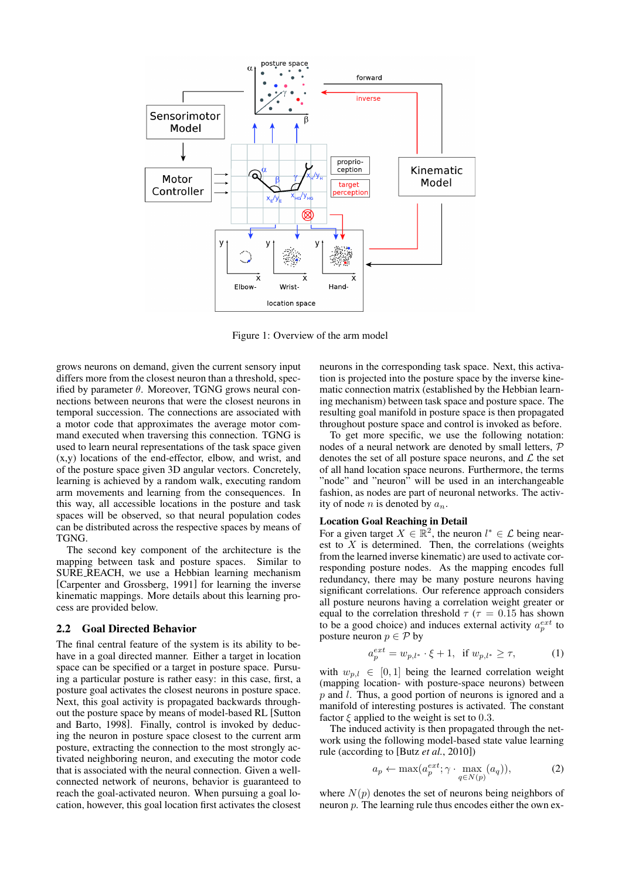

Figure 1: Overview of the arm model

grows neurons on demand, given the current sensory input differs more from the closest neuron than a threshold, specified by parameter  $\theta$ . Moreover, TGNG grows neural connections between neurons that were the closest neurons in temporal succession. The connections are associated with a motor code that approximates the average motor command executed when traversing this connection. TGNG is used to learn neural representations of the task space given (x,y) locations of the end-effector, elbow, and wrist, and of the posture space given 3D angular vectors. Concretely, learning is achieved by a random walk, executing random arm movements and learning from the consequences. In this way, all accessible locations in the posture and task spaces will be observed, so that neural population codes can be distributed across the respective spaces by means of TGNG.

The second key component of the architecture is the mapping between task and posture spaces. Similar to SURE REACH, we use a Hebbian learning mechanism [Carpenter and Grossberg, 1991] for learning the inverse kinematic mappings. More details about this learning process are provided below.

#### 2.2 Goal Directed Behavior

The final central feature of the system is its ability to behave in a goal directed manner. Either a target in location space can be specified or a target in posture space. Pursuing a particular posture is rather easy: in this case, first, a posture goal activates the closest neurons in posture space. Next, this goal activity is propagated backwards throughout the posture space by means of model-based RL [Sutton and Barto, 1998]. Finally, control is invoked by deducing the neuron in posture space closest to the current arm posture, extracting the connection to the most strongly activated neighboring neuron, and executing the motor code that is associated with the neural connection. Given a wellconnected network of neurons, behavior is guaranteed to reach the goal-activated neuron. When pursuing a goal location, however, this goal location first activates the closest neurons in the corresponding task space. Next, this activation is projected into the posture space by the inverse kinematic connection matrix (established by the Hebbian learning mechanism) between task space and posture space. The resulting goal manifold in posture space is then propagated throughout posture space and control is invoked as before.

To get more specific, we use the following notation: nodes of a neural network are denoted by small letters, P denotes the set of all posture space neurons, and  $\mathcal L$  the set of all hand location space neurons. Furthermore, the terms "node" and "neuron" will be used in an interchangeable fashion, as nodes are part of neuronal networks. The activity of node *n* is denoted by  $a_n$ .

#### Location Goal Reaching in Detail

For a given target  $X \in \mathbb{R}^2$ , the neuron  $l^* \in \mathcal{L}$  being nearest to  $\overline{X}$  is determined. Then, the correlations (weights from the learned inverse kinematic) are used to activate corresponding posture nodes. As the mapping encodes full redundancy, there may be many posture neurons having significant correlations. Our reference approach considers all posture neurons having a correlation weight greater or equal to the correlation threshold  $\tau$  ( $\tau$  = 0.15 has shown to be a good choice) and induces external activity  $a_p^{ext}$  to posture neuron  $p \in \mathcal{P}$  by

$$
a_p^{ext} = w_{p,l^*} \cdot \xi + 1, \text{ if } w_{p,l^*} \ge \tau,
$$
 (1)

with  $w_{p,l} \in [0,1]$  being the learned correlation weight (mapping location- with posture-space neurons) between  $p$  and  $l$ . Thus, a good portion of neurons is ignored and a manifold of interesting postures is activated. The constant factor  $\xi$  applied to the weight is set to 0.3.

The induced activity is then propagated through the network using the following model-based state value learning rule (according to [Butz *et al.*, 2010])

$$
a_p \leftarrow \max(a_p^{ext}; \gamma \cdot \max_{q \in N(p)} (a_q)), \tag{2}
$$

where  $N(p)$  denotes the set of neurons being neighbors of neuron  $p$ . The learning rule thus encodes either the own ex-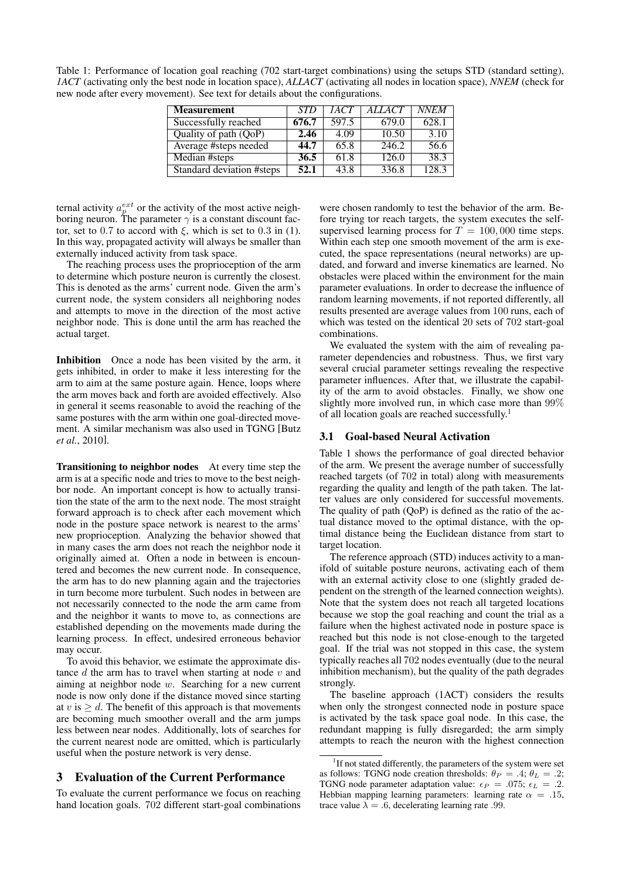Table 1: Performance of location goal reaching (702 start-target combinations) using the setups STD (standard setting), *1ACT* (activating only the best node in location space), *ALLACT* (activating all nodes in location space), *NNEM* (check for new node after every movement). See text for details about the configurations.

| <b>Measurement</b>        | STD   | 1ACT  | <i>ALLACT</i> | <i>NNEM</i> |
|---------------------------|-------|-------|---------------|-------------|
| Successfully reached      | 676.7 | 597.5 | 679.0         | 628.1       |
| Quality of path $(QoP)$   | 2.46  | 4.09  | 10.50         | 3.10        |
| Average #steps needed     | 44.7  | 65.8  | 246.2         | 56.6        |
| Median #steps             | 36.5  | 61.8  | 126.0         | 38.3        |
| Standard deviation #steps | 52.1  | 43.8  | 336.8         | 128.3       |

ternal activity  $a_p^{ext}$  or the activity of the most active neighboring neuron. The parameter  $\gamma$  is a constant discount factor, set to 0.7 to accord with  $\xi$ , which is set to 0.3 in (1). In this way, propagated activity will always be smaller than externally induced activity from task space.

The reaching process uses the proprioception of the arm to determine which posture neuron is currently the closest. This is denoted as the arms' current node. Given the arm's current node, the system considers all neighboring nodes and attempts to move in the direction of the most active neighbor node. This is done until the arm has reached the actual target.

Inhibition Once a node has been visited by the arm, it gets inhibited, in order to make it less interesting for the arm to aim at the same posture again. Hence, loops where the arm moves back and forth are avoided effectively. Also in general it seems reasonable to avoid the reaching of the same postures with the arm within one goal-directed movement. A similar mechanism was also used in TGNG [Butz *et al.*, 2010].

Transitioning to neighbor nodes At every time step the arm is at a specific node and tries to move to the best neighbor node. An important concept is how to actually transition the state of the arm to the next node. The most straight forward approach is to check after each movement which node in the posture space network is nearest to the arms' new proprioception. Analyzing the behavior showed that in many cases the arm does not reach the neighbor node it originally aimed at. Often a node in between is encountered and becomes the new current node. In consequence, the arm has to do new planning again and the trajectories in turn become more turbulent. Such nodes in between are not necessarily connected to the node the arm came from and the neighbor it wants to move to, as connections are established depending on the movements made during the learning process. In effect, undesired erroneous behavior may occur.

To avoid this behavior, we estimate the approximate distance  $d$  the arm has to travel when starting at node  $v$  and aiming at neighbor node w. Searching for a new current node is now only done if the distance moved since starting at v is  $\geq d$ . The benefit of this approach is that movements are becoming much smoother overall and the arm jumps less between near nodes. Additionally, lots of searches for the current nearest node are omitted, which is particularly useful when the posture network is very dense.

### 3 Evaluation of the Current Performance

To evaluate the current performance we focus on reaching hand location goals. 702 different start-goal combinations were chosen randomly to test the behavior of the arm. Before trying tor reach targets, the system executes the selfsupervised learning process for  $T = 100,000$  time steps. Within each step one smooth movement of the arm is executed, the space representations (neural networks) are updated, and forward and inverse kinematics are learned. No obstacles were placed within the environment for the main parameter evaluations. In order to decrease the influence of random learning movements, if not reported differently, all results presented are average values from 100 runs, each of which was tested on the identical 20 sets of 702 start-goal combinations.

We evaluated the system with the aim of revealing parameter dependencies and robustness. Thus, we first vary several crucial parameter settings revealing the respective parameter influences. After that, we illustrate the capability of the arm to avoid obstacles. Finally, we show one slightly more involved run, in which case more than 99% of all location goals are reached successfully.<sup>1</sup>

#### 3.1 Goal-based Neural Activation

Table 1 shows the performance of goal directed behavior of the arm. We present the average number of successfully reached targets (of 702 in total) along with measurements regarding the quality and length of the path taken. The latter values are only considered for successful movements. The quality of path (QoP) is defined as the ratio of the actual distance moved to the optimal distance, with the optimal distance being the Euclidean distance from start to target location.

The reference approach (STD) induces activity to a manifold of suitable posture neurons, activating each of them with an external activity close to one (slightly graded dependent on the strength of the learned connection weights). Note that the system does not reach all targeted locations because we stop the goal reaching and count the trial as a failure when the highest activated node in posture space is reached but this node is not close-enough to the targeted goal. If the trial was not stopped in this case, the system typically reaches all 702 nodes eventually (due to the neural inhibition mechanism), but the quality of the path degrades strongly.

The baseline approach (1ACT) considers the results when only the strongest connected node in posture space is activated by the task space goal node. In this case, the redundant mapping is fully disregarded; the arm simply attempts to reach the neuron with the highest connection

<sup>&</sup>lt;sup>1</sup>If not stated differently, the parameters of the system were set as follows: TGNG node creation thresholds:  $\theta_P = .4$ ;  $\theta_L = .2$ ; TGNG node parameter adaptation value:  $\epsilon_P = .075$ ;  $\epsilon_L = .2$ . Hebbian mapping learning parameters: learning rate  $\alpha = .15$ , trace value  $\lambda = .6$ , decelerating learning rate .99.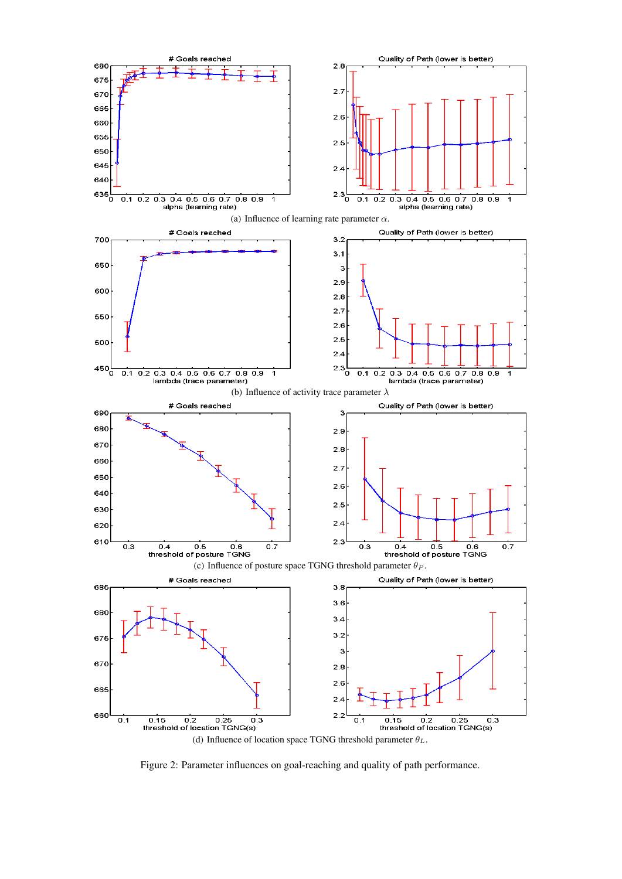

Figure 2: Parameter influences on goal-reaching and quality of path performance.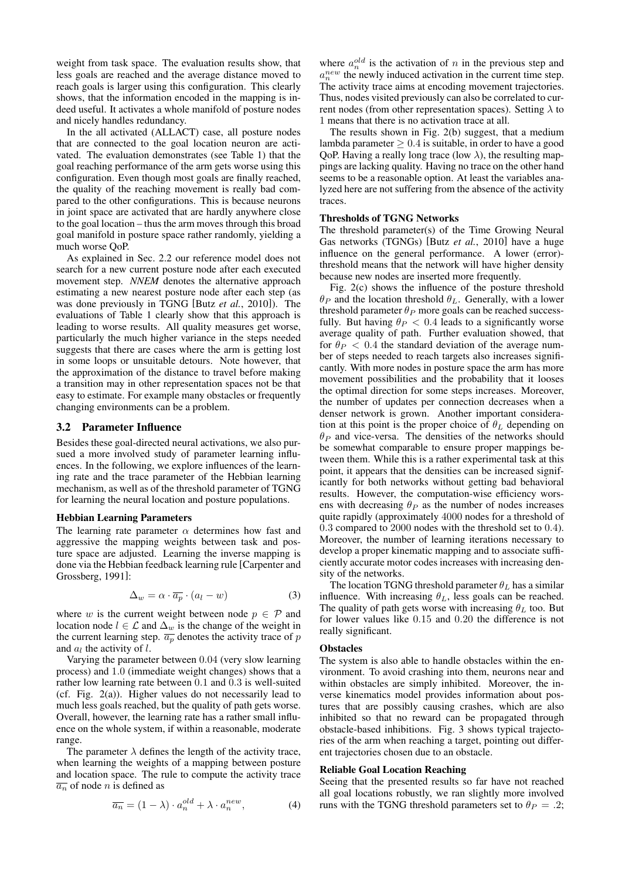weight from task space. The evaluation results show, that less goals are reached and the average distance moved to reach goals is larger using this configuration. This clearly shows, that the information encoded in the mapping is indeed useful. It activates a whole manifold of posture nodes and nicely handles redundancy.

In the all activated (ALLACT) case, all posture nodes that are connected to the goal location neuron are activated. The evaluation demonstrates (see Table 1) that the goal reaching performance of the arm gets worse using this configuration. Even though most goals are finally reached, the quality of the reaching movement is really bad compared to the other configurations. This is because neurons in joint space are activated that are hardly anywhere close to the goal location – thus the arm moves through this broad goal manifold in posture space rather randomly, yielding a much worse QoP.

As explained in Sec. 2.2 our reference model does not search for a new current posture node after each executed movement step. *NNEM* denotes the alternative approach estimating a new nearest posture node after each step (as was done previously in TGNG [Butz *et al.*, 2010]). The evaluations of Table 1 clearly show that this approach is leading to worse results. All quality measures get worse, particularly the much higher variance in the steps needed suggests that there are cases where the arm is getting lost in some loops or unsuitable detours. Note however, that the approximation of the distance to travel before making a transition may in other representation spaces not be that easy to estimate. For example many obstacles or frequently changing environments can be a problem.

#### 3.2 Parameter Influence

Besides these goal-directed neural activations, we also pursued a more involved study of parameter learning influences. In the following, we explore influences of the learning rate and the trace parameter of the Hebbian learning mechanism, as well as of the threshold parameter of TGNG for learning the neural location and posture populations.

#### Hebbian Learning Parameters

The learning rate parameter  $\alpha$  determines how fast and aggressive the mapping weights between task and posture space are adjusted. Learning the inverse mapping is done via the Hebbian feedback learning rule [Carpenter and Grossberg, 1991]:

$$
\Delta_w = \alpha \cdot \overline{a_p} \cdot (a_l - w) \tag{3}
$$

where w is the current weight between node  $p \in \mathcal{P}$  and location node  $l \in \mathcal{L}$  and  $\Delta_w$  is the change of the weight in the current learning step.  $\overline{a_p}$  denotes the activity trace of p and  $a_l$  the activity of  $l$ .

Varying the parameter between 0.04 (very slow learning process) and 1.0 (immediate weight changes) shows that a rather low learning rate between 0.1 and 0.3 is well-suited (cf. Fig. 2(a)). Higher values do not necessarily lead to much less goals reached, but the quality of path gets worse. Overall, however, the learning rate has a rather small influence on the whole system, if within a reasonable, moderate range.

The parameter  $\lambda$  defines the length of the activity trace, when learning the weights of a mapping between posture and location space. The rule to compute the activity trace  $\overline{a_n}$  of node *n* is defined as

$$
\overline{a_n} = (1 - \lambda) \cdot a_n^{old} + \lambda \cdot a_n^{new}, \tag{4}
$$

where  $a_n^{old}$  is the activation of n in the previous step and  $a_n^{new}$  the newly induced activation in the current time step. The activity trace aims at encoding movement trajectories. Thus, nodes visited previously can also be correlated to current nodes (from other representation spaces). Setting  $\lambda$  to 1 means that there is no activation trace at all.

The results shown in Fig. 2(b) suggest, that a medium lambda parameter  $> 0.4$  is suitable, in order to have a good QoP. Having a really long trace (low  $\lambda$ ), the resulting mappings are lacking quality. Having no trace on the other hand seems to be a reasonable option. At least the variables analyzed here are not suffering from the absence of the activity traces.

#### Thresholds of TGNG Networks

The threshold parameter(s) of the Time Growing Neural Gas networks (TGNGs) [Butz *et al.*, 2010] have a huge influence on the general performance. A lower (error) threshold means that the network will have higher density because new nodes are inserted more frequently.

Fig. 2(c) shows the influence of the posture threshold  $\theta_P$  and the location threshold  $\theta_L$ . Generally, with a lower threshold parameter  $\theta_P$  more goals can be reached successfully. But having  $\theta_P < 0.4$  leads to a significantly worse average quality of path. Further evaluation showed, that for  $\theta_P < 0.4$  the standard deviation of the average number of steps needed to reach targets also increases significantly. With more nodes in posture space the arm has more movement possibilities and the probability that it looses the optimal direction for some steps increases. Moreover, the number of updates per connection decreases when a denser network is grown. Another important consideration at this point is the proper choice of  $\theta_L$  depending on  $\theta_P$  and vice-versa. The densities of the networks should be somewhat comparable to ensure proper mappings between them. While this is a rather experimental task at this point, it appears that the densities can be increased significantly for both networks without getting bad behavioral results. However, the computation-wise efficiency worsens with decreasing  $\theta_P$  as the number of nodes increases quite rapidly (approximately 4000 nodes for a threshold of 0.3 compared to 2000 nodes with the threshold set to 0.4). Moreover, the number of learning iterations necessary to develop a proper kinematic mapping and to associate sufficiently accurate motor codes increases with increasing density of the networks.

The location TGNG threshold parameter  $\theta_L$  has a similar influence. With increasing  $\theta_L$ , less goals can be reached. The quality of path gets worse with increasing  $\theta_L$  too. But for lower values like 0.15 and 0.20 the difference is not really significant.

#### **Obstacles**

The system is also able to handle obstacles within the environment. To avoid crashing into them, neurons near and within obstacles are simply inhibited. Moreover, the inverse kinematics model provides information about postures that are possibly causing crashes, which are also inhibited so that no reward can be propagated through obstacle-based inhibitions. Fig. 3 shows typical trajectories of the arm when reaching a target, pointing out different trajectories chosen due to an obstacle.

#### Reliable Goal Location Reaching

Seeing that the presented results so far have not reached all goal locations robustly, we ran slightly more involved runs with the TGNG threshold parameters set to  $\theta_P = .2$ ;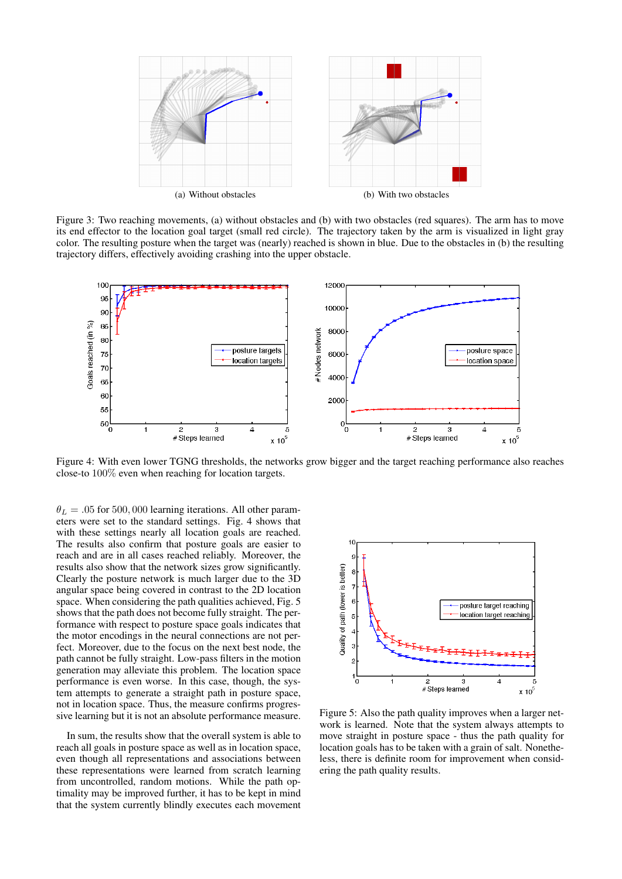

Figure 3: Two reaching movements, (a) without obstacles and (b) with two obstacles (red squares). The arm has to move its end effector to the location goal target (small red circle). The trajectory taken by the arm is visualized in light gray color. The resulting posture when the target was (nearly) reached is shown in blue. Due to the obstacles in (b) the resulting trajectory differs, effectively avoiding crashing into the upper obstacle.



Figure 4: With even lower TGNG thresholds, the networks grow bigger and the target reaching performance also reaches close-to 100% even when reaching for location targets.

 $\theta_L = .05$  for 500, 000 learning iterations. All other parameters were set to the standard settings. Fig. 4 shows that with these settings nearly all location goals are reached. The results also confirm that posture goals are easier to reach and are in all cases reached reliably. Moreover, the results also show that the network sizes grow significantly. Clearly the posture network is much larger due to the 3D angular space being covered in contrast to the 2D location space. When considering the path qualities achieved, Fig. 5 shows that the path does not become fully straight. The performance with respect to posture space goals indicates that the motor encodings in the neural connections are not perfect. Moreover, due to the focus on the next best node, the path cannot be fully straight. Low-pass filters in the motion generation may alleviate this problem. The location space performance is even worse. In this case, though, the system attempts to generate a straight path in posture space, not in location space. Thus, the measure confirms progressive learning but it is not an absolute performance measure.

In sum, the results show that the overall system is able to reach all goals in posture space as well as in location space, even though all representations and associations between these representations were learned from scratch learning from uncontrolled, random motions. While the path optimality may be improved further, it has to be kept in mind that the system currently blindly executes each movement



Figure 5: Also the path quality improves when a larger network is learned. Note that the system always attempts to move straight in posture space - thus the path quality for location goals has to be taken with a grain of salt. Nonetheless, there is definite room for improvement when considering the path quality results.